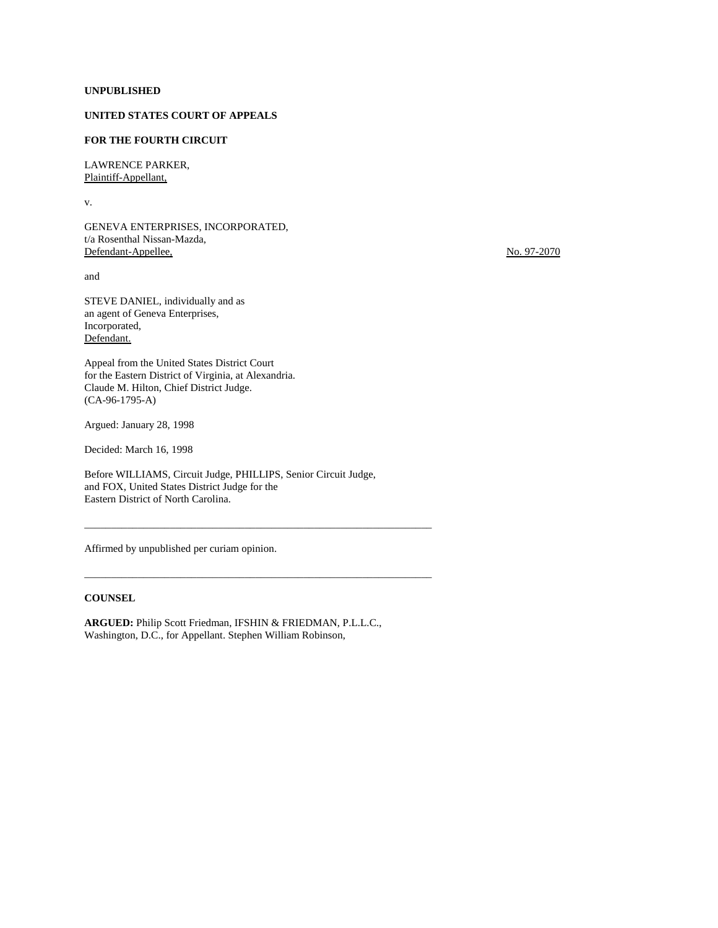### **UNPUBLISHED**

# **UNITED STATES COURT OF APPEALS**

### **FOR THE FOURTH CIRCUIT**

LAWRENCE PARKER, Plaintiff-Appellant,

v.

GENEVA ENTERPRISES, INCORPORATED, t/a Rosenthal Nissan-Mazda, Defendant-Appellee, No. 97-2070

and

STEVE DANIEL, individually and as an agent of Geneva Enterprises, Incorporated, Defendant.

Appeal from the United States District Court for the Eastern District of Virginia, at Alexandria. Claude M. Hilton, Chief District Judge. (CA-96-1795-A)

Argued: January 28, 1998

Decided: March 16, 1998

Before WILLIAMS, Circuit Judge, PHILLIPS, Senior Circuit Judge, and FOX, United States District Judge for the Eastern District of North Carolina.

\_\_\_\_\_\_\_\_\_\_\_\_\_\_\_\_\_\_\_\_\_\_\_\_\_\_\_\_\_\_\_\_\_\_\_\_\_\_\_\_\_\_\_\_\_\_\_\_\_\_\_\_\_\_\_\_\_\_\_\_\_\_\_\_\_

\_\_\_\_\_\_\_\_\_\_\_\_\_\_\_\_\_\_\_\_\_\_\_\_\_\_\_\_\_\_\_\_\_\_\_\_\_\_\_\_\_\_\_\_\_\_\_\_\_\_\_\_\_\_\_\_\_\_\_\_\_\_\_\_\_

Affirmed by unpublished per curiam opinion.

### **COUNSEL**

**ARGUED:** Philip Scott Friedman, IFSHIN & FRIEDMAN, P.L.L.C., Washington, D.C., for Appellant. Stephen William Robinson,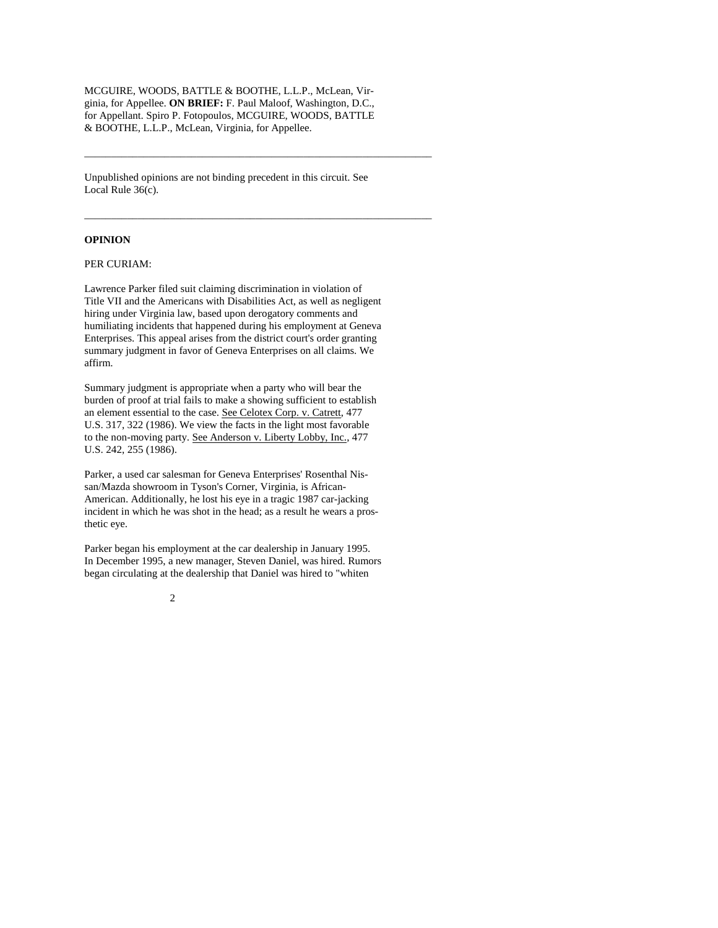MCGUIRE, WOODS, BATTLE & BOOTHE, L.L.P., McLean, Virginia, for Appellee. **ON BRIEF:** F. Paul Maloof, Washington, D.C., for Appellant. Spiro P. Fotopoulos, MCGUIRE, WOODS, BATTLE & BOOTHE, L.L.P., McLean, Virginia, for Appellee.

\_\_\_\_\_\_\_\_\_\_\_\_\_\_\_\_\_\_\_\_\_\_\_\_\_\_\_\_\_\_\_\_\_\_\_\_\_\_\_\_\_\_\_\_\_\_\_\_\_\_\_\_\_\_\_\_\_\_\_\_\_\_\_\_\_

\_\_\_\_\_\_\_\_\_\_\_\_\_\_\_\_\_\_\_\_\_\_\_\_\_\_\_\_\_\_\_\_\_\_\_\_\_\_\_\_\_\_\_\_\_\_\_\_\_\_\_\_\_\_\_\_\_\_\_\_\_\_\_\_\_

Unpublished opinions are not binding precedent in this circuit. See Local Rule 36(c).

#### **OPINION**

## PER CURIAM:

Lawrence Parker filed suit claiming discrimination in violation of Title VII and the Americans with Disabilities Act, as well as negligent hiring under Virginia law, based upon derogatory comments and humiliating incidents that happened during his employment at Geneva Enterprises. This appeal arises from the district court's order granting summary judgment in favor of Geneva Enterprises on all claims. We affirm.

Summary judgment is appropriate when a party who will bear the burden of proof at trial fails to make a showing sufficient to establish an element essential to the case. See Celotex Corp. v. Catrett, 477 U.S. 317, 322 (1986). We view the facts in the light most favorable to the non-moving party. See Anderson v. Liberty Lobby, Inc., 477 U.S. 242, 255 (1986).

Parker, a used car salesman for Geneva Enterprises' Rosenthal Nissan/Mazda showroom in Tyson's Corner, Virginia, is African-American. Additionally, he lost his eye in a tragic 1987 car-jacking incident in which he was shot in the head; as a result he wears a prosthetic eye.

Parker began his employment at the car dealership in January 1995. In December 1995, a new manager, Steven Daniel, was hired. Rumors began circulating at the dealership that Daniel was hired to "whiten

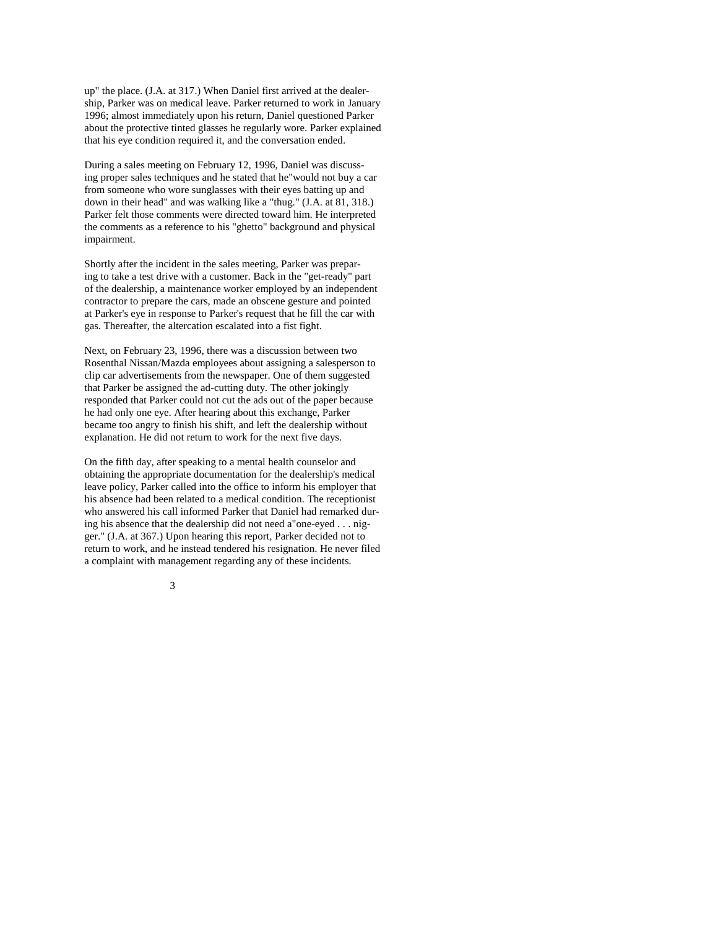up" the place. (J.A. at 317.) When Daniel first arrived at the dealership, Parker was on medical leave. Parker returned to work in January 1996; almost immediately upon his return, Daniel questioned Parker about the protective tinted glasses he regularly wore. Parker explained that his eye condition required it, and the conversation ended.

During a sales meeting on February 12, 1996, Daniel was discussing proper sales techniques and he stated that he"would not buy a car from someone who wore sunglasses with their eyes batting up and down in their head" and was walking like a "thug." (J.A. at 81, 318.) Parker felt those comments were directed toward him. He interpreted the comments as a reference to his "ghetto" background and physical impairment.

Shortly after the incident in the sales meeting, Parker was preparing to take a test drive with a customer. Back in the "get-ready" part of the dealership, a maintenance worker employed by an independent contractor to prepare the cars, made an obscene gesture and pointed at Parker's eye in response to Parker's request that he fill the car with gas. Thereafter, the altercation escalated into a fist fight.

Next, on February 23, 1996, there was a discussion between two Rosenthal Nissan/Mazda employees about assigning a salesperson to clip car advertisements from the newspaper. One of them suggested that Parker be assigned the ad-cutting duty. The other jokingly responded that Parker could not cut the ads out of the paper because he had only one eye. After hearing about this exchange, Parker became too angry to finish his shift, and left the dealership without explanation. He did not return to work for the next five days.

On the fifth day, after speaking to a mental health counselor and obtaining the appropriate documentation for the dealership's medical leave policy, Parker called into the office to inform his employer that his absence had been related to a medical condition. The receptionist who answered his call informed Parker that Daniel had remarked during his absence that the dealership did not need a"one-eyed . . . nigger." (J.A. at 367.) Upon hearing this report, Parker decided not to return to work, and he instead tendered his resignation. He never filed a complaint with management regarding any of these incidents.

3